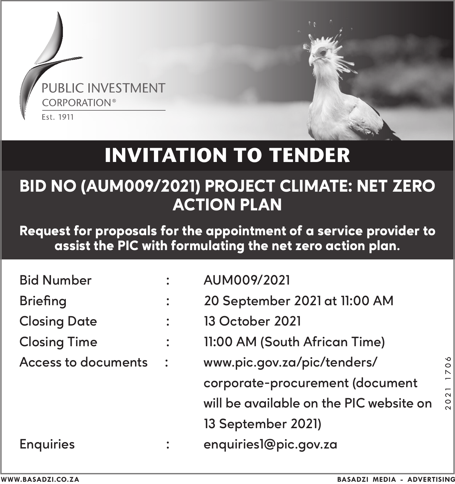

## **INVITATION TO TENDER**

#### BID NO (AUM009/2021) PROJECT CLIMATE: NET ZERO **ACTION PLAN**

Request for proposals for the appointment of a service provider to assist the PIC with formulating the net zero action plan.

| <b>Bid Number</b>   |                | AUM009/2021                             |      |
|---------------------|----------------|-----------------------------------------|------|
| <b>Briefing</b>     |                | 20 September 2021 at 11:00 AM           |      |
| <b>Closing Date</b> |                | 13 October 2021                         |      |
| <b>Closing Time</b> | :              | 11:00 AM (South African Time)           |      |
| Access to documents | $\mathbb{R}^n$ | www.pic.gov.za/pic/tenders/             | 706  |
|                     |                | corporate-procurement (document         |      |
|                     |                | will be available on the PIC website on | 2021 |
|                     |                | 13 September 2021)                      |      |
| Enguiries           |                | enquiries1@pic.gov.za                   |      |
|                     |                |                                         |      |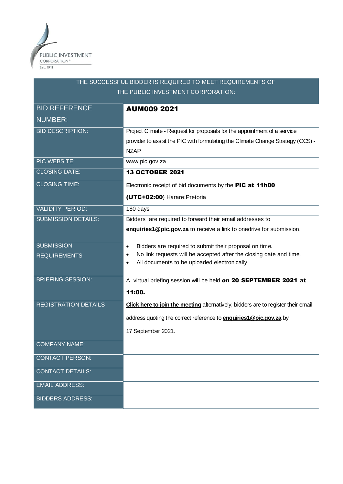

# THE SUCCESSFUL BIDDER IS REQUIRED TO MEET REQUIREMENTS OF THE PUBLIC INVESTMENT CORPORATION: BID REFERENCE NUMBER: AUM009 2021 BID DESCRIPTION: Project Climate - Request for proposals for the appointment of a service provider to assist the PIC with formulating the Climate Change Strategy (CCS) - NZAP PIC WEBSITE: www.pic.gov.za CLOSING DATE: **13 OCTOBER 2021** CLOSING TIME: Electronic receipt of bid documents by the PIC at 11h00 (UTC+02:00) Harare:Pretoria VALIDITY PERIOD: 180 days SUBMISSION DETAILS: Bidders are required to forward their email addresses to **enquiries1@pic.gov.za** to receive a link to onedrive for submission. **SUBMISSION** REQUIREMENTS • Bidders are required to submit their proposal on time. • No link requests will be accepted after the closing date and time. • All documents to be uploaded electronically. BRIEFING SESSION: A virtual briefing session will be held on 20 SEPTEMBER 2021 at 11:00. REGISTRATION DETAILS **[Click here to join the meeting](https://teams.microsoft.com/l/meetup-join/19%3ameeting_Njk0NDU1YWMtNTE5YS00ZWQ4LTllOTYtNzQwMWU1ZjU4OWI4%40thread.v2/0?context=%7b%22Tid%22%3a%2206fdb25e-a78c-4818-a304-562007fd761b%22%2c%22Oid%22%3a%22014002e3-88dd-44bb-bc2b-22b845ed53e9%22%7d)** alternatively, bidders are to register their email address quoting the correct reference to **[enquiries1@pic.gov.za](mailto:enquiries1@pic.gov.za)** by 17 September 2021. COMPANY NAME: CONTACT PERSON: CONTACT DETAILS: EMAIL ADDRESS: BIDDERS ADDRESS: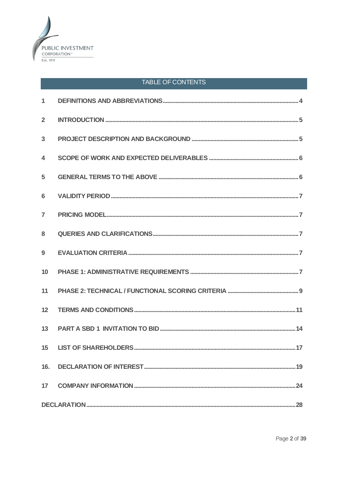

## TABLE OF CONTENTS

| 2 <sup>1</sup>          |    |
|-------------------------|----|
| $\overline{3}$          |    |
| $\overline{\mathbf{4}}$ |    |
| 5                       |    |
| 6                       |    |
| $\overline{7}$          |    |
| 8                       |    |
| 9                       |    |
| 10                      |    |
| 11                      |    |
| 12                      |    |
| 13                      |    |
| 15                      |    |
| 16.                     |    |
| 17                      | 24 |
|                         |    |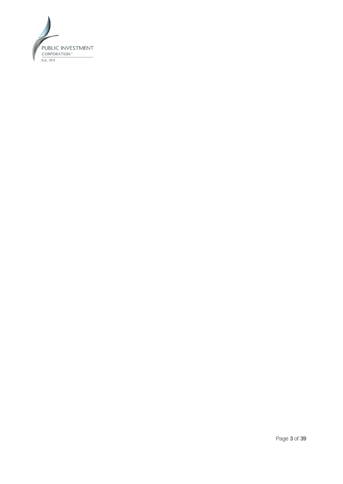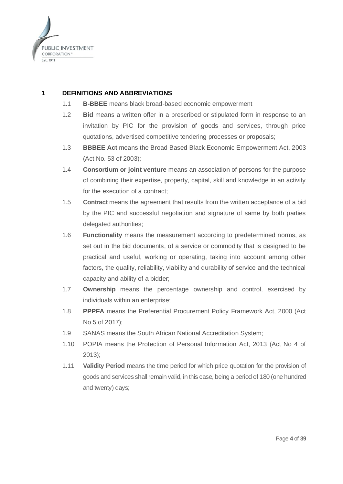

## <span id="page-4-0"></span>**1 DEFINITIONS AND ABBREVIATIONS**

- 1.1 **B-BBEE** means black broad-based economic empowerment
- 1.2 **Bid** means a written offer in a prescribed or stipulated form in response to an invitation by PIC for the provision of goods and services, through price quotations, advertised competitive tendering processes or proposals;
- 1.3 **BBBEE Act** means the Broad Based Black Economic Empowerment Act, 2003 (Act No. 53 of 2003);
- 1.4 **Consortium or joint venture** means an association of persons for the purpose of combining their expertise, property, capital, skill and knowledge in an activity for the execution of a contract;
- 1.5 **Contract** means the agreement that results from the written acceptance of a bid by the PIC and successful negotiation and signature of same by both parties delegated authorities;
- 1.6 **Functionality** means the measurement according to predetermined norms, as set out in the bid documents, of a service or commodity that is designed to be practical and useful, working or operating, taking into account among other factors, the quality, reliability, viability and durability of service and the technical capacity and ability of a bidder;
- 1.7 **Ownership** means the percentage ownership and control, exercised by individuals within an enterprise;
- 1.8 **PPPFA** means the Preferential Procurement Policy Framework Act, 2000 (Act No 5 of 2017);
- 1.9 SANAS means the South African National Accreditation System;
- 1.10 POPIA means the Protection of Personal Information Act, 2013 (Act No 4 of 2013);
- 1.11 **Validity Period** means the time period for which price quotation for the provision of goods and services shall remain valid, in this case, being a period of 180 (one hundred and twenty) days;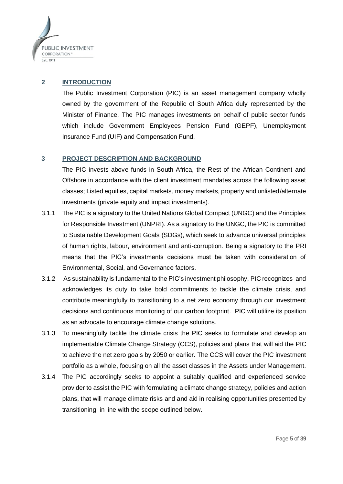

## <span id="page-5-0"></span>**2 INTRODUCTION**

The Public Investment Corporation (PIC) is an asset management company wholly owned by the government of the Republic of South Africa duly represented by the Minister of Finance. The PIC manages investments on behalf of public sector funds which include Government Employees Pension Fund (GEPF), Unemployment Insurance Fund (UIF) and Compensation Fund.

## <span id="page-5-1"></span>**3 PROJECT DESCRIPTION AND BACKGROUND**

The PIC invests above funds in South Africa, the Rest of the African Continent and Offshore in accordance with the client investment mandates across the following asset classes; Listed equities, capital markets, money markets, property and unlisted/alternate investments (private equity and impact investments).

- 3.1.1 The PIC is a signatory to the United Nations Global Compact (UNGC) and the Principles for Responsible Investment (UNPRI). As a signatory to the UNGC, the PIC is committed to Sustainable Development Goals (SDGs), which seek to advance universal principles of human rights, labour, environment and anti-corruption. Being a signatory to the PRI means that the PIC's investments decisions must be taken with consideration of Environmental, Social, and Governance factors.
- 3.1.2 As sustainability is fundamental to the PIC's investment philosophy, PIC recognizes and acknowledges its duty to take bold commitments to tackle the climate crisis, and contribute meaningfully to transitioning to a net zero economy through our investment decisions and continuous monitoring of our carbon footprint. PIC will utilize its position as an advocate to encourage climate change solutions.
- 3.1.3 To meaningfully tackle the climate crisis the PIC seeks to formulate and develop an implementable Climate Change Strategy (CCS), policies and plans that will aid the PIC to achieve the net zero goals by 2050 or earlier. The CCS will cover the PIC investment portfolio as a whole, focusing on all the asset classes in the Assets under Management.
- 3.1.4 The PIC accordingly seeks to appoint a suitably qualified and experienced service provider to assist the PIC with formulating a climate change strategy, policies and action plans, that will manage climate risks and and aid in realising opportunities presented by transitioning in line with the scope outlined below.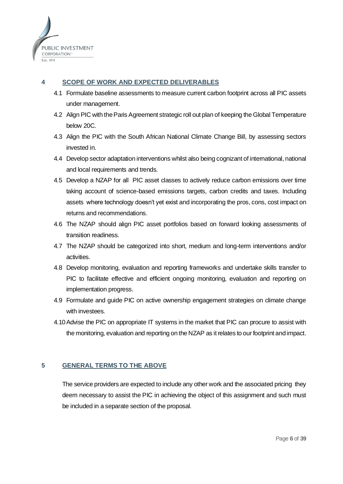

## <span id="page-6-0"></span>**4 SCOPE OF WORK AND EXPECTED DELIVERABLES**

- 4.1 Formulate baseline assessments to measure current carbon footprint across all PIC assets under management.
- 4.2 Align PIC with the Paris Agreement strategic roll out plan of keeping the Global Temperature below 20C.
- 4.3 Align the PIC with the South African National Climate Change Bill, by assessing sectors invested in.
- 4.4 Develop sector adaptation interventions whilst also being cognizant of international, national and local requirements and trends.
- 4.5 Develop a NZAP for all PIC asset classes to actively reduce carbon emissions over time taking account of science-based emissions targets, carbon credits and taxes. Including assets where technology doesn't yet exist and incorporating the pros, cons, cost impact on returns and recommendations.
- 4.6 The NZAP should align PIC asset portfolios based on forward looking assessments of transition readiness.
- 4.7 The NZAP should be categorized into short, medium and long-term interventions and/or activities.
- 4.8 Develop monitoring, evaluation and reporting frameworks and undertake skills transfer to PIC to facilitate effective and efficient ongoing monitoring, evaluation and reporting on implementation progress.
- 4.9 Formulate and guide PIC on active ownership engagement strategies on climate change with investees.
- 4.10Advise the PIC on appropriate IT systems in the market that PIC can procure to assist with the monitoring, evaluation and reporting on the NZAP as it relates to our footprint and impact.

## <span id="page-6-1"></span>**5 GENERAL TERMS TO THE ABOVE**

The service providers are expected to include any other work and the associated pricing they deem necessary to assist the PIC in achieving the object of this assignment and such must be included in a separate section of the proposal.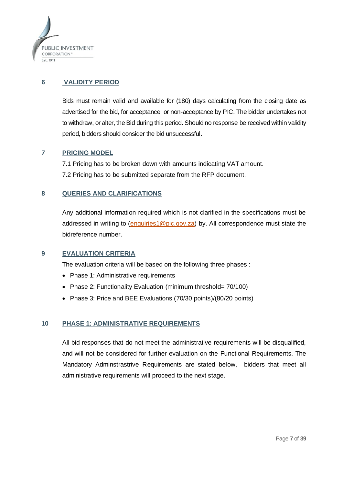

## **6 VALIDITY PERIOD**

<span id="page-7-0"></span>Bids must remain valid and available for (180) days calculating from the closing date as advertised for the bid, for acceptance, or non-acceptance by PIC. The bidder undertakes not to withdraw, or alter, the Bid during this period. Should no response be received within validity period, bidders should consider the bid unsuccessful.

#### <span id="page-7-1"></span>**7 PRICING MODEL**

7.1 Pricing has to be broken down with amounts indicating VAT amount. 7.2 Pricing has to be submitted separate from the RFP document.

## <span id="page-7-2"></span>**8 QUERIES AND CLARIFICATIONS**

Any additional information required which is not clarified in the specifications must be addressed in writing to [\(enquiries1@pic.gov.za\)](mailto:enquiries1@pic.gov.za) by. All correspondence must state the bidreference number.

## <span id="page-7-3"></span>**9 EVALUATION CRITERIA**

The evaluation criteria will be based on the following three phases :

- Phase 1: Administrative requirements
- Phase 2: Functionality Evaluation (minimum threshold= 70/100)
- Phase 3: Price and BEE Evaluations (70/30 points)/(80/20 points)

## <span id="page-7-4"></span>**10 PHASE 1: ADMINISTRATIVE REQUIREMENTS**

All bid responses that do not meet the administrative requirements will be disqualified, and will not be considered for further evaluation on the Functional Requirements. The Mandatory Adminstrastrive Requirements are stated below, bidders that meet all administrative requirements will proceed to the next stage.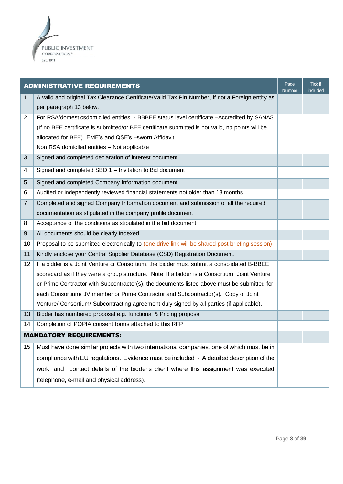

| <b>ADMINISTRATIVE REQUIREMENTS</b> | Page<br>Number                                                                                   | Tick if<br>included |  |
|------------------------------------|--------------------------------------------------------------------------------------------------|---------------------|--|
| 1                                  | A valid and original Tax Clearance Certificate/Valid Tax Pin Number, if not a Foreign entity as  |                     |  |
|                                    | per paragraph 13 below.                                                                          |                     |  |
| 2                                  | For RSA/domesticsdomiciled entities - BBBEE status level certificate - Accredited by SANAS       |                     |  |
|                                    | (If no BEE certificate is submitted/or BEE certificate submitted is not valid, no points will be |                     |  |
|                                    | allocated for BEE). EME's and QSE's -sworn Affidavit.                                            |                     |  |
|                                    | Non RSA domiciled entities - Not applicable                                                      |                     |  |
| 3                                  | Signed and completed declaration of interest document                                            |                     |  |
| 4                                  | Signed and completed SBD 1 - Invitation to Bid document                                          |                     |  |
| 5                                  | Signed and completed Company Information document                                                |                     |  |
| 6                                  | Audited or independently reviewed financial statements not older than 18 months.                 |                     |  |
| $\overline{7}$                     | Completed and signed Company Information document and submission of all the required             |                     |  |
|                                    | documentation as stipulated in the company profile document                                      |                     |  |
| 8                                  | Acceptance of the conditions as stipulated in the bid document                                   |                     |  |
| 9                                  | All documents should be clearly indexed                                                          |                     |  |
| 10                                 | Proposal to be submitted electronically to (one drive link will be shared post briefing session) |                     |  |
| 11                                 | Kindly enclose your Central Supplier Database (CSD) Registration Document.                       |                     |  |
| 12                                 | If a bidder is a Joint Venture or Consortium, the bidder must submit a consolidated B-BBEE       |                     |  |
|                                    | scorecard as if they were a group structure. Note: If a bidder is a Consortium, Joint Venture    |                     |  |
|                                    | or Prime Contractor with Subcontractor(s), the documents listed above must be submitted for      |                     |  |
|                                    | each Consortium/ JV member or Prime Contractor and Subcontractor(s). Copy of Joint               |                     |  |
|                                    | Venture/ Consortium/ Subcontracting agreement duly signed by all parties (if applicable).        |                     |  |
| 13                                 | Bidder has numbered proposal e.g. functional & Pricing proposal                                  |                     |  |
| 14                                 | Completion of POPIA consent forms attached to this RFP                                           |                     |  |
|                                    | <b>MANDATORY REQUIREMENTS:</b>                                                                   |                     |  |
| 15                                 | Must have done similar projects with two international companies, one of which must be in        |                     |  |
|                                    | compliance with EU regulations. Evidence must be included - A detailed description of the        |                     |  |
|                                    | work; and contact details of the bidder's client where this assignment was executed              |                     |  |
|                                    | (telephone, e-mail and physical address).                                                        |                     |  |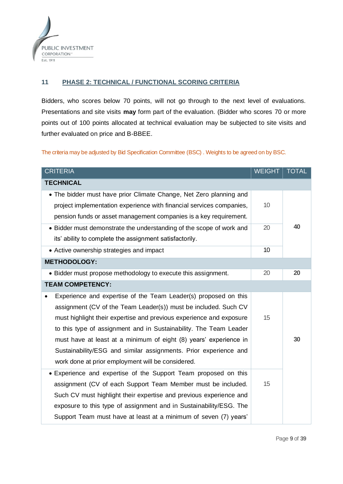

## <span id="page-9-0"></span>**11 PHASE 2: TECHNICAL / FUNCTIONAL SCORING CRITERIA**

Bidders, who scores below 70 points, will not go through to the next level of evaluations. Presentations and site visits **may** form part of the evaluation. (Bidder who scores 70 or more points out of 100 points allocated at technical evaluation may be subjected to site visits and further evaluated on price and B-BBEE.

The criteria may be adjusted by Bid Specification Committee (BSC) . Weights to be agreed on by BSC.

| <b>CRITERIA</b>                                                      | <b>WEIGHT</b> | <b>TOTAL</b> |
|----------------------------------------------------------------------|---------------|--------------|
| <b>TECHNICAL</b>                                                     |               |              |
| • The bidder must have prior Climate Change, Net Zero planning and   |               |              |
| project implementation experience with financial services companies, | 10            |              |
| pension funds or asset management companies is a key requirement.    |               |              |
| • Bidder must demonstrate the understanding of the scope of work and | 20            | 40           |
| its' ability to complete the assignment satisfactorily.              |               |              |
| • Active ownership strategies and impact                             | 10            |              |
| <b>METHODOLOGY:</b>                                                  |               |              |
| • Bidder must propose methodology to execute this assignment.        | 20            | 20           |
| <b>TEAM COMPETENCY:</b>                                              |               |              |
| Experience and expertise of the Team Leader(s) proposed on this      |               |              |
| assignment (CV of the Team Leader(s)) must be included. Such CV      |               |              |
| must highlight their expertise and previous experience and exposure  | 15            |              |
| to this type of assignment and in Sustainability. The Team Leader    |               |              |
| must have at least at a minimum of eight (8) years' experience in    |               | 30           |
| Sustainability/ESG and similar assignments. Prior experience and     |               |              |
| work done at prior employment will be considered.                    |               |              |
| • Experience and expertise of the Support Team proposed on this      |               |              |
| assignment (CV of each Support Team Member must be included.         | 15            |              |
| Such CV must highlight their expertise and previous experience and   |               |              |
| exposure to this type of assignment and in Sustainability/ESG. The   |               |              |
| Support Team must have at least at a minimum of seven (7) years'     |               |              |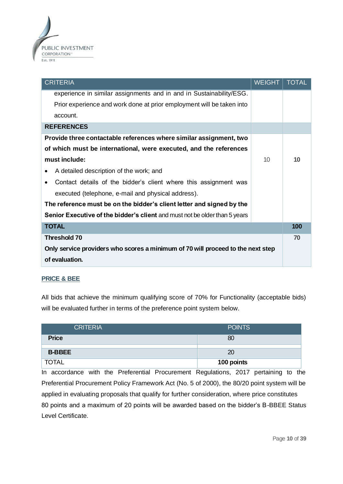

| <b>CRITERIA</b>                                                                 | <b>WEIGHT</b> | <b>TOTAL</b> |
|---------------------------------------------------------------------------------|---------------|--------------|
| experience in similar assignments and in and in Sustainability/ESG.             |               |              |
| Prior experience and work done at prior employment will be taken into           |               |              |
| account.                                                                        |               |              |
| <b>REFERENCES</b>                                                               |               |              |
| Provide three contactable references where similar assignment, two              |               |              |
| of which must be international, were executed, and the references               |               |              |
| must include:                                                                   | 10            | 10           |
| A detailed description of the work; and                                         |               |              |
| Contact details of the bidder's client where this assignment was<br>$\bullet$   |               |              |
| executed (telephone, e-mail and physical address).                              |               |              |
| The reference must be on the bidder's client letter and signed by the           |               |              |
| Senior Executive of the bidder's client and must not be older than 5 years      |               |              |
| <b>TOTAL</b>                                                                    |               | 100          |
| <b>Threshold 70</b>                                                             |               |              |
| Only service providers who scores a minimum of 70 will proceed to the next step |               |              |
| of evaluation.                                                                  |               |              |

## **PRICE & BEE**

All bids that achieve the minimum qualifying score of 70% for Functionality (acceptable bids) will be evaluated further in terms of the preference point system below.

| <b>CRITERIA</b> | <b>POINTS</b> |
|-----------------|---------------|
| <b>Price</b>    | 80            |
| <b>B-BBEE</b>   | 20            |
| <b>TOTAL</b>    | 100 points    |

In accordance with the Preferential Procurement Regulations, 2017 pertaining to the Preferential Procurement Policy Framework Act (No. 5 of 2000), the 80/20 point system will be applied in evaluating proposals that qualify for further consideration, where price constitutes 80 points and a maximum of 20 points will be awarded based on the bidder's B-BBEE Status Level Certificate.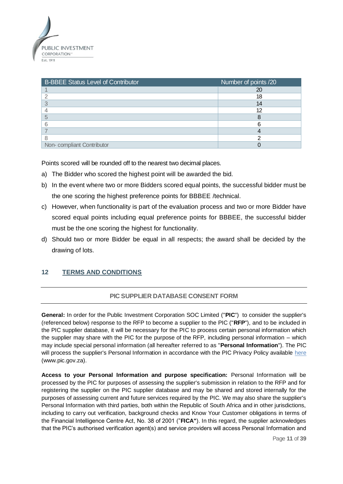

| B-BBEE Status Level of Contributor | Number of points /20 |
|------------------------------------|----------------------|
|                                    | 20                   |
|                                    | 18                   |
|                                    | 14                   |
|                                    | 12                   |
|                                    |                      |
| 6                                  |                      |
|                                    |                      |
|                                    |                      |
| Non-compliant Contributor          |                      |

Points scored will be rounded off to the nearest two decimal places.

- a) The Bidder who scored the highest point will be awarded the bid.
- b) In the event where two or more Bidders scored equal points, the successful bidder must be the one scoring the highest preference points for BBBEE /technical.
- c) However, when functionality is part of the evaluation process and two or more Bidder have scored equal points including equal preference points for BBBEE, the successful bidder must be the one scoring the highest for functionality.
- d) Should two or more Bidder be equal in all respects; the award shall be decided by the drawing of lots.

## <span id="page-11-0"></span>**12 TERMS AND CONDITIONS**

## **PIC SUPPLIER DATABASE CONSENT FORM**

**General:** In order for the Public Investment Corporation SOC Limited ("**PIC**") to consider the supplier's (referenced below) response to the RFP to become a supplier to the PIC ("**RFP**"), and to be included in the PIC supplier database, it will be necessary for the PIC to process certain personal information which the supplier may share with the PIC for the purpose of the RFP, including personal information – which may include special personal information (all hereafter referred to as "**Personal Information**"). The PIC will process the supplier's Personal Information in accordance with the PIC Privacy Policy available [here](https://www.pic.gov.za/pages/privacy.aspx) (www.pic.gov.za).

**Access to your Personal Information and purpose specification:** Personal Information will be processed by the PIC for purposes of assessing the supplier's submission in relation to the RFP and for registering the supplier on the PIC supplier database and may be shared and stored internally for the purposes of assessing current and future services required by the PIC. We may also share the supplier's Personal Information with third parties, both within the Republic of South Africa and in other jurisdictions, including to carry out verification, background checks and Know Your Customer obligations in terms of the Financial Intelligence Centre Act, No. 38 of 2001 ("**FICA"**). In this regard, the supplier acknowledges that the PIC's authorised verification agent(s) and service providers will access Personal Information and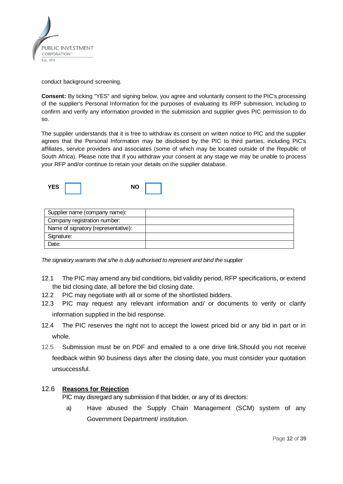

conduct background screening.

**Consent:** By ticking "YES" and signing below, you agree and voluntarily consent to the PIC's processing of the supplier's Personal Information for the purposes of evaluating its RFP submission, including to confirm and verify any information provided in the submission and supplier gives PIC permission to do so.

The supplier understands that it is free to withdraw its consent on written notice to PIC and the supplier agrees that the Personal Information may be disclosed by the PIC to third parties, including PIC's affiliates, service providers and associates (some of which may be located outside of the Republic of South Africa). Please note that if you withdraw your consent at any stage we may be unable to process your RFP and/or continue to retain your details on the supplier database.

| <b>NO</b><br><b>YFS</b><br>. |
|------------------------------|
|------------------------------|

| Supplier name (company name):       |  |
|-------------------------------------|--|
| Company registration number:        |  |
| Name of signatory (representative): |  |
| Signature:                          |  |
| Date:                               |  |

*The signatory warrants that s/he is duly authorised to represent and bind the supplier*

- 12.1 The PIC may amend any bid conditions, bid validity period, RFP specifications, or extend the bid closing date, all before the bid closing date.
- 12.2 PIC may negotiate with all or some of the shortlisted bidders.
- 12.3 PIC may request any relevant information and/ or documents to verify or clarify information supplied in the bid response.
- 12.4 The PIC reserves the right not to accept the lowest priced bid or any bid in part or in whole.
- 12.5 Submission must be on PDF and emailed to a one drive link.Should you not receive feedback within 90 business days after the closing date, you must consider your quotation unsuccessful.

## 12.6 **Reasons for Rejection**

PIC may disregard any submission if that bidder, or any of its directors:

a) Have abused the Supply Chain Management (SCM) system of any Government Department/ institution.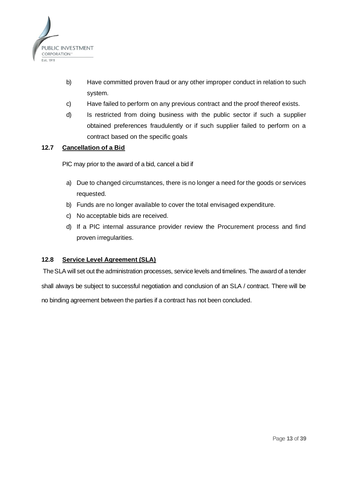

- b) Have committed proven fraud or any other improper conduct in relation to such system.
- c) Have failed to perform on any previous contract and the proof thereof exists.
- d) Is restricted from doing business with the public sector if such a supplier obtained preferences fraudulently or if such supplier failed to perform on a contract based on the specific goals

## **12.7 Cancellation of a Bid**

PIC may prior to the award of a bid, cancel a bid if

- a) Due to changed circumstances, there is no longer a need for the goods or services requested.
- b) Funds are no longer available to cover the total envisaged expenditure.
- c) No acceptable bids are received.
- d) If a PIC internal assurance provider review the Procurement process and find proven irregularities.

## **12.8 Service Level Agreement (SLA)**

The SLA will set out the administration processes, service levels and timelines. The award of a tender shall always be subject to successful negotiation and conclusion of an SLA / contract. There will be no binding agreement between the parties if a contract has not been concluded.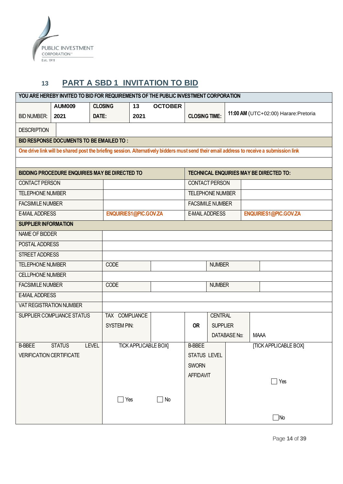

# <span id="page-14-0"></span>**13 PART A SBD 1 INVITATION TO BID**

| YOU ARE HEREBY INVITED TO BID FOR REQUIREMENTS OF THE PUBLIC INVESTMENT CORPORATION |                                                                                                                                           |                    |                       |                |                         |                 |              |             |                                         |
|-------------------------------------------------------------------------------------|-------------------------------------------------------------------------------------------------------------------------------------------|--------------------|-----------------------|----------------|-------------------------|-----------------|--------------|-------------|-----------------------------------------|
|                                                                                     | <b>AUM009</b>                                                                                                                             | <b>CLOSING</b>     | 13                    | <b>OCTOBER</b> |                         |                 |              |             | 11:00 AM (UTC+02:00) Harare: Pretoria   |
| <b>BID NUMBER:</b>                                                                  | 2021                                                                                                                                      | DATE:              | 2021                  |                | <b>CLOSING TIME:</b>    |                 |              |             |                                         |
| <b>DESCRIPTION</b>                                                                  |                                                                                                                                           |                    |                       |                |                         |                 |              |             |                                         |
|                                                                                     | BID RESPONSE DOCUMENTS TO BE EMAILED TO:                                                                                                  |                    |                       |                |                         |                 |              |             |                                         |
|                                                                                     | One drive link will be shared post the briefing session. Alternatively bidders must send their email address to receive a submission link |                    |                       |                |                         |                 |              |             |                                         |
|                                                                                     |                                                                                                                                           |                    |                       |                |                         |                 |              |             |                                         |
|                                                                                     | BIDDING PROCEDURE ENQUIRIES MAY BE DIRECTED TO                                                                                            |                    |                       |                |                         |                 |              |             | TECHNICAL ENQUIRIES MAY BE DIRECTED TO: |
| CONTACT PERSON                                                                      |                                                                                                                                           |                    |                       |                | CONTACT PERSON          |                 |              |             |                                         |
| <b>TELEPHONE NUMBER</b>                                                             |                                                                                                                                           |                    |                       |                | TELEPHONE NUMBER        |                 |              |             |                                         |
| <b>FACSIMILE NUMBER</b>                                                             |                                                                                                                                           |                    |                       |                | <b>FACSIMILE NUMBER</b> |                 |              |             |                                         |
| <b>E-MAIL ADDRESS</b>                                                               |                                                                                                                                           |                    | ENQUIRIES1@PIC.GOV.ZA |                | <b>E-MAIL ADDRESS</b>   |                 |              |             | ENQUIRIES1@PIC.GOV.ZA                   |
| <b>SUPPLIER INFORMATION</b>                                                         |                                                                                                                                           |                    |                       |                |                         |                 |              |             |                                         |
| NAME OF BIDDER                                                                      |                                                                                                                                           |                    |                       |                |                         |                 |              |             |                                         |
| POSTAL ADDRESS                                                                      |                                                                                                                                           |                    |                       |                |                         |                 |              |             |                                         |
| STREET ADDRESS                                                                      |                                                                                                                                           |                    |                       |                |                         |                 |              |             |                                         |
| <b>TELEPHONE NUMBER</b>                                                             |                                                                                                                                           | <b>CODE</b>        |                       |                |                         | <b>NUMBER</b>   |              |             |                                         |
| <b>CELLPHONE NUMBER</b>                                                             |                                                                                                                                           |                    |                       |                |                         |                 |              |             |                                         |
| <b>FACSIMILE NUMBER</b>                                                             |                                                                                                                                           | CODE               |                       |                | <b>NUMBER</b>           |                 |              |             |                                         |
| <b>E-MAIL ADDRESS</b>                                                               |                                                                                                                                           |                    |                       |                |                         |                 |              |             |                                         |
|                                                                                     | VAT REGISTRATION NUMBER                                                                                                                   |                    |                       |                |                         |                 |              |             |                                         |
|                                                                                     | SUPPLIER COMPLIANCE STATUS                                                                                                                |                    | TAX COMPLIANCE        |                |                         | <b>CENTRAL</b>  |              |             |                                         |
|                                                                                     |                                                                                                                                           | <b>SYSTEM PIN:</b> |                       |                | <b>OR</b>               | <b>SUPPLIER</b> |              |             |                                         |
|                                                                                     |                                                                                                                                           |                    |                       |                |                         |                 | DATABASE No: | <b>MAAA</b> |                                         |
| <b>B-BBEE</b>                                                                       | <b>STATUS</b>                                                                                                                             | <b>LEVEL</b>       | TICK APPLICABLE BOX   |                | <b>B-BBEE</b>           |                 |              |             | <b>[TICK APPLICABLE BOX]</b>            |
| <b>VERIFICATION CERTIFICATE</b>                                                     |                                                                                                                                           |                    |                       |                | <b>STATUS LEVEL</b>     |                 |              |             |                                         |
|                                                                                     |                                                                                                                                           |                    |                       |                | <b>SWORN</b>            |                 |              |             |                                         |
|                                                                                     |                                                                                                                                           |                    |                       |                | <b>AFFIDAVIT</b>        |                 |              |             | $\Box$ Yes                              |
|                                                                                     |                                                                                                                                           |                    |                       |                |                         |                 |              |             |                                         |
|                                                                                     |                                                                                                                                           |                    | $\Box$ Yes            | No<br>$\Box$   |                         |                 |              |             |                                         |
|                                                                                     |                                                                                                                                           |                    |                       |                |                         |                 |              |             | $\square$ No                            |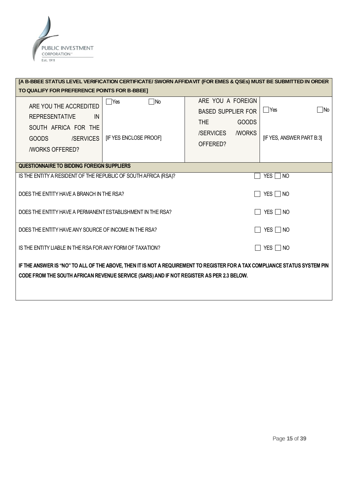

| [A B-BBEE STATUS LEVEL VERIFICATION CERTIFICATE/ SWORN AFFIDAVIT (FOR EMES & QSEs) MUST BE SUBMITTED IN ORDER                                                                                                          |                                                   |                                                                                                                       |                                                 |  |
|------------------------------------------------------------------------------------------------------------------------------------------------------------------------------------------------------------------------|---------------------------------------------------|-----------------------------------------------------------------------------------------------------------------------|-------------------------------------------------|--|
| TO QUALIFY FOR PREFERENCE POINTS FOR B-BBEE]                                                                                                                                                                           |                                                   |                                                                                                                       |                                                 |  |
| ARE YOU THE ACCREDITED<br><b>REPRESENTATIVE</b><br>IN<br>SOUTH AFRICA FOR THE<br>/SERVICES<br><b>GOODS</b><br><b><i>NORKS OFFERED?</i></b>                                                                             | ∃No<br><b>Yes</b><br><b>IF YES ENCLOSE PROOFI</b> | ARE YOU A FOREIGN<br><b>BASED SUPPLIER FOR</b><br><b>GOODS</b><br>THE<br>/SERVICES<br><b><i>NORKS</i></b><br>OFFERED? | $\Box$ No<br>  Yes<br>[IF YES, ANSWER PART B:3] |  |
| QUESTIONNAIRE TO BIDDING FOREIGN SUPPLIERS                                                                                                                                                                             |                                                   |                                                                                                                       |                                                 |  |
| IS THE ENTITY A RESIDENT OF THE REPUBLIC OF SOUTH AFRICA (RSA)?                                                                                                                                                        |                                                   |                                                                                                                       | $YES \Box NO$                                   |  |
| DOES THE ENTITY HAVE A BRANCH IN THE RSA?<br>$YES \Box NO$                                                                                                                                                             |                                                   |                                                                                                                       |                                                 |  |
| YES $\Box$ No<br>DOES THE ENTITY HAVE A PERMANENT ESTABLISHMENT IN THE RSA?                                                                                                                                            |                                                   |                                                                                                                       |                                                 |  |
| YES $\Box$ NO<br>DOES THE ENTITY HAVE ANY SOURCE OF INCOME IN THE RSA?                                                                                                                                                 |                                                   |                                                                                                                       |                                                 |  |
| YES I INO<br>IS THE ENTITY LIABLE IN THE RSA FOR ANY FORM OF TAXATION?                                                                                                                                                 |                                                   |                                                                                                                       |                                                 |  |
| IF THE ANSWER IS "NO" TO ALL OF THE ABOVE, THEN IT IS NOT A REQUIREMENT TO REGISTER FOR A TAX COMPLIANCE STATUS SYSTEM PIN<br>CODE FROM THE SOUTH AFRICAN REVENUE SERVICE (SARS) AND IF NOT REGISTER AS PER 2.3 BELOW. |                                                   |                                                                                                                       |                                                 |  |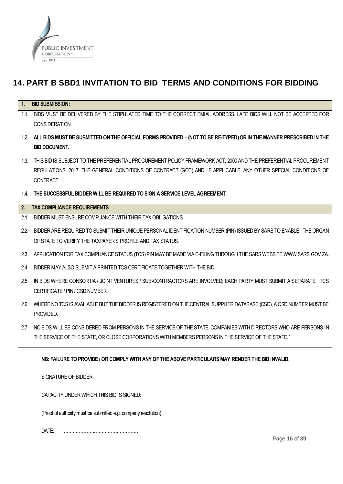

## **14. PART B SBD1 INVITATION TO BID TERMS AND CONDITIONS FOR BIDDING**

| 1 <sub>1</sub> | <b>BID SUBMISSION:</b>                                                                                                   |
|----------------|--------------------------------------------------------------------------------------------------------------------------|
|                | 1.1. BIDS MUST BE DELIVERED BY THE STIPULATED TIME TO THE CORRECT EMIAL ADDRESS. LATE BIDS WILL NOT BE ACCEPTED FOR      |
|                | CONSIDERATION.                                                                                                           |
|                | 1.2. ALL BIDS MUST BE SUBMITTED ON THE OFFICIAL FORMS PROVIDED - (NOT TO BE RE-TYPED) OR IN THE MANNER PRESCRIBED IN THE |
|                | <b>BID DOCUMENT.</b>                                                                                                     |
| 1.3.           | THIS BID IS SUBJECT TO THE PREFERENTIAL PROCUREMENT POLICY FRAMEWORK ACT, 2000 AND THE PREFERENTIAL PROCUREMENT          |
|                | REGULATIONS, 2017, THE GENERAL CONDITIONS OF CONTRACT (GCC) AND, IF APPLICABLE, ANY OTHER SPECIAL CONDITIONS OF          |
|                | CONTRACT.                                                                                                                |
|                | 1.4. THE SUCCESSFUL BIDDER WILL BE REQUIRED TO SIGN A SERVICE LEVEL AGREEMENT.                                           |
| 2.             | <b>TAX COMPLIANCE REQUIREMENTS</b>                                                                                       |
| 2.1            | BIDDER MUST ENSURE COMPLIANCE WITH THEIR TAX OBLIGATIONS.                                                                |
| $2.2\degree$   | BIDDER ARE REQUIRED TO SUBMIT THEIR UNIQUE PERSONAL IDENTIFICATION NUMBER (PIN) ISSUED BY SARS TO ENABLE THE ORGAN       |
|                | OF STATE TO VERIFY THE TAXPAYER'S PROFILE AND TAX STATUS.                                                                |
| 2.3            | APPLICATION FOR TAX COMPLIANCE STATUS (TCS) PIN MAY BE MADE VIA E-FILING THROUGH THE SARS WEBSITE WWW.SARS.GOV.ZA.       |
| 2.4            | BIDDER MAY ALSO SUBMIT A PRINTED TCS CERTIFICATE TOGETHER WITH THE BID.                                                  |
| 2.5            | IN BIDS WHERE CONSORTIA / JOINT VENTURES / SUB-CONTRACTORS ARE INVOLVED; EACH PARTY MUST SUBMIT A SEPARATE TCS           |
|                | CERTIFICATE / PIN / CSD NUMBER.                                                                                          |
| 2.6            | WHERE NO TCS IS AVAILABLE BUT THE BIDDER IS REGISTERED ON THE CENTRAL SUPPLIER DATABASE (CSD), A CSD NUMBER MUST BE      |
|                | PROVIDED.                                                                                                                |
| 2.7            | NO BIDS WILL BE CONSIDERED FROM PERSONS IN THE SERVICE OF THE STATE, COMPANIES WITH DIRECTORS WHO ARE PERSONS IN         |
|                | THE SERVICE OF THE STATE, OR CLOSE CORPORATIONS WITH MEMBERS PERSONS IN THE SERVICE OF THE STATE."                       |
|                |                                                                                                                          |

## **NB: FAILURE TO PROVIDE / OR COMPLY WITH ANY OF THE ABOVE PARTICULARS MAY RENDER THE BID INVALID**.

SIGNATURE OF BIDDER:

CAPACITY UNDER WHICH THIS BID IS SIGNED:

(Proof of authority must be submitted e.g. company resolution)

DATE: ……………………………………………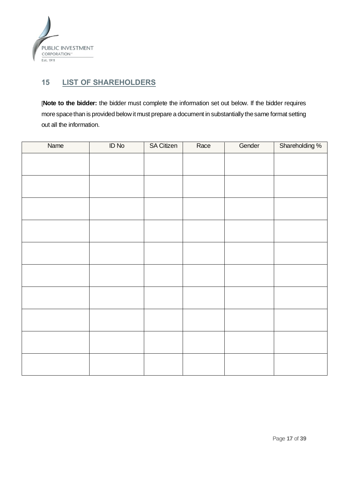

## <span id="page-17-0"></span>**15 LIST OF SHAREHOLDERS**

[**Note to the bidder:** the bidder must complete the information set out below. If the bidder requires more space than is provided below it must prepare a document in substantially the same format setting out all the information.

| Name | $ID$ No | <b>SA Citizen</b> | Race | Gender | Shareholding % |
|------|---------|-------------------|------|--------|----------------|
|      |         |                   |      |        |                |
|      |         |                   |      |        |                |
|      |         |                   |      |        |                |
|      |         |                   |      |        |                |
|      |         |                   |      |        |                |
|      |         |                   |      |        |                |
|      |         |                   |      |        |                |
|      |         |                   |      |        |                |
|      |         |                   |      |        |                |
|      |         |                   |      |        |                |
|      |         |                   |      |        |                |
|      |         |                   |      |        |                |
|      |         |                   |      |        |                |
|      |         |                   |      |        |                |
|      |         |                   |      |        |                |
|      |         |                   |      |        |                |
|      |         |                   |      |        |                |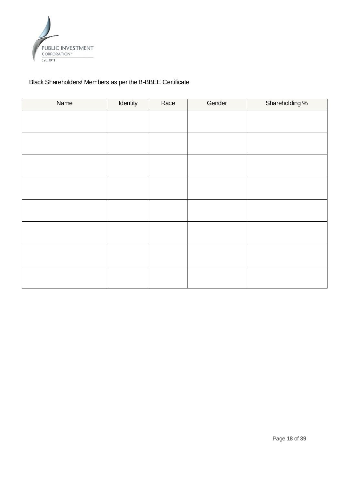

## Black Shareholders/ Members as per the B-BBEE Certificate

| Name | Identity | Race | Gender | Shareholding % |
|------|----------|------|--------|----------------|
|      |          |      |        |                |
|      |          |      |        |                |
|      |          |      |        |                |
|      |          |      |        |                |
|      |          |      |        |                |
|      |          |      |        |                |
|      |          |      |        |                |
|      |          |      |        |                |
|      |          |      |        |                |
|      |          |      |        |                |
|      |          |      |        |                |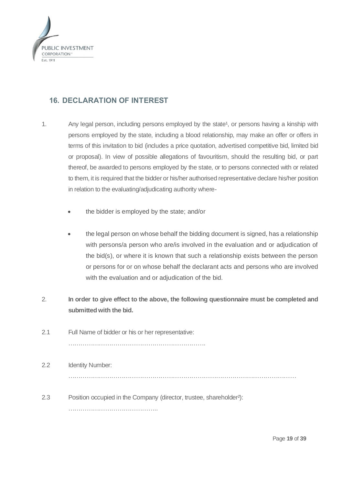

## <span id="page-19-0"></span>**16. DECLARATION OF INTEREST**

- 1. Any legal person, including persons employed by the state<sup>1</sup>, or persons having a kinship with persons employed by the state, including a blood relationship, may make an offer or offers in terms of this invitation to bid (includes a price quotation, advertised competitive bid, limited bid or proposal). In view of possible allegations of favouritism, should the resulting bid, or part thereof, be awarded to persons employed by the state, or to persons connected with or related to them, it is required that the bidder or his/her authorised representative declare his/her position in relation to the evaluating/adjudicating authority where-
	- the bidder is employed by the state; and/or
	- the legal person on whose behalf the bidding document is signed, has a relationship with persons/a person who are/is involved in the evaluation and or adjudication of the bid(s), or where it is known that such a relationship exists between the person or persons for or on whose behalf the declarant acts and persons who are involved with the evaluation and or adjudication of the bid.
- 2. **In order to give effect to the above, the following questionnaire must be completed and submitted with the bid.**
- 2.1 Full Name of bidder or his or her representative: ………………………………………………………….
- 2.2 Identity Number: …………………………………………………………………………………………………
- 2.3 Position occupied in the Company (director, trustee, shareholder²): ……………………………………..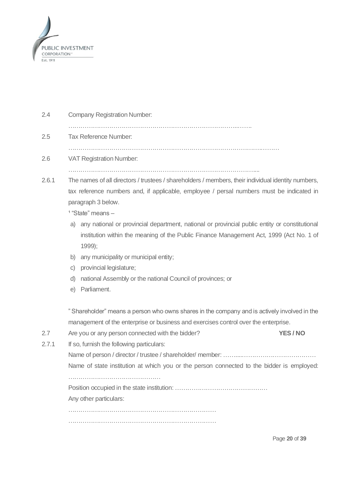

| 2.4<br><b>Company Registration Number:</b> |  |
|--------------------------------------------|--|
|--------------------------------------------|--|

 $\mathcal{L}^{(n)}$ 

2.5 Tax Reference Number:

………………………………………………………………………………….………

2.6 VAT Registration Number:

 $\mathcal{L}^{\text{max}}$ 

2.6.1 The names of all directors / trustees / shareholders / members, their individual identity numbers, tax reference numbers and, if applicable, employee / persal numbers must be indicated in paragraph 3 below.

 $1$  "State" means  $-$ 

- a) any national or provincial department, national or provincial public entity or constitutional institution within the meaning of the Public Finance Management Act, 1999 (Act No. 1 of 1999);
- b) any municipality or municipal entity;
- c) provincial legislature;
- d) national Assembly or the national Council of provinces; or
- e) Parliament.

" Shareholder" means a person who owns shares in the company and is actively involved in the management of the enterprise or business and exercises control over the enterprise.

| 2.7   | Are you or any person connected with the bidder?                                          | YES/NO |
|-------|-------------------------------------------------------------------------------------------|--------|
| 2.7.1 | If so, furnish the following particulars:                                                 |        |
|       |                                                                                           |        |
|       | Name of state institution at which you or the person connected to the bidder is employed: |        |
|       |                                                                                           |        |
|       |                                                                                           |        |
|       | Any other particulars:                                                                    |        |
|       |                                                                                           |        |
|       |                                                                                           |        |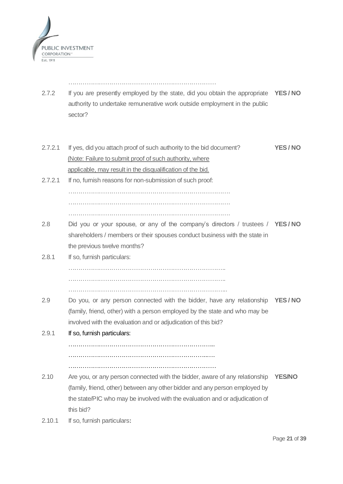

- 2.7.2 If you are presently employed by the state, did you obtain the appropriate **YES / NO** authority to undertake remunerative work outside employment in the public sector?
- 2.7.2.1 If yes, did you attach proof of such authority to the bid document? (Note: Failure to submit proof of such authority, where applicable, may result in the disqualification of the bid. **YES / NO** 2.7.2.1 If no, furnish reasons for non-submission of such proof: ……………………………………………………………………. ……………………………………………………………………. …………………………………………………………………….
- 2.8 Did you or your spouse, or any of the company's directors / trustees / **YES / NO** shareholders / members or their spouses conduct business with the state in the previous twelve months?
- 2.8.1 If so, furnish particulars: ………………………………………………………………….. ………………………………………………………………….. …………………………………………………………………...
- 2.9 Do you, or any person connected with the bidder, have any relationship **YES / NO** (family, friend, other) with a person employed by the state and who may be involved with the evaluation and or adjudication of this bid?
- 2.9.1 If so, furnish particulars: ……………………………………………………………... …………………………………………………………..….
	- ………………………………………………………………
- 2.10 Are you, or any person connected with the bidder, aware of any relationship **YES/NO** (family, friend, other) between any other bidder and any person employed by the state/PIC who may be involved with the evaluation and or adjudication of this bid?
- 2.10.1 If so, furnish particulars**:**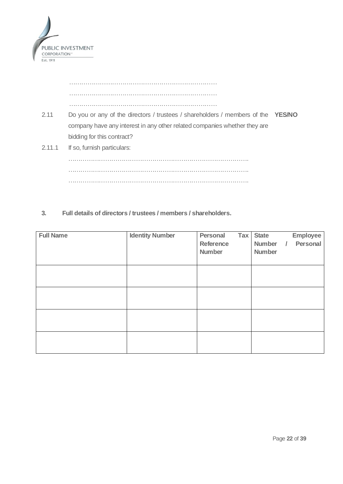

| 2.11 | Do you or any of the directors / trustees / shareholders / members of the <b>YES/NO</b> |  |
|------|-----------------------------------------------------------------------------------------|--|
|      | company have any interest in any other related companies whether they are               |  |
|      | bidding for this contract?                                                              |  |
|      | 2.11.1 If so, furnish particulars:                                                      |  |
|      |                                                                                         |  |
|      |                                                                                         |  |
|      |                                                                                         |  |
|      |                                                                                         |  |

**3. Full details of directors / trustees / members / shareholders.**

| <b>Full Name</b> | <b>Identity Number</b> | Personal<br><b>Reference</b><br><b>Number</b> | Tax | <b>State</b><br>Number<br><b>Number</b> | $\sqrt{ }$ | Employee<br>Personal |
|------------------|------------------------|-----------------------------------------------|-----|-----------------------------------------|------------|----------------------|
|                  |                        |                                               |     |                                         |            |                      |
|                  |                        |                                               |     |                                         |            |                      |
|                  |                        |                                               |     |                                         |            |                      |
|                  |                        |                                               |     |                                         |            |                      |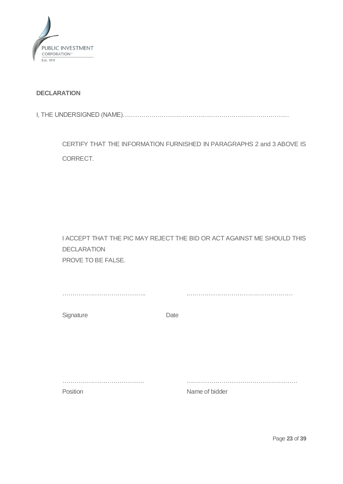

## **DECLARATION**

I, THE UNDERSIGNED (NAME)………………………………………………………………………

CERTIFY THAT THE INFORMATION FURNISHED IN PARAGRAPHS 2 and 3 ABOVE IS CORRECT.

I ACCEPT THAT THE PIC MAY REJECT THE BID OR ACT AGAINST ME SHOULD THIS DECLARATION PROVE TO BE FALSE.

………………………………….. .……………………………………………

Signature Date

…………………………………. ……………………………………………… Position **Name of bidder** 

Page **23** of **39**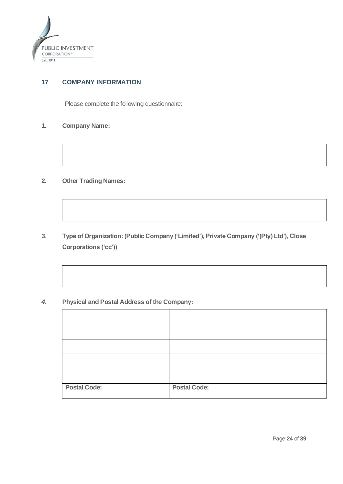

## <span id="page-24-0"></span>**17 COMPANY INFORMATION**

Please complete the following questionnaire:

- **1. Company Name:**
- **2. Other Trading Names:**
- **3**. **Type of Organization: (Public Company ('Limited'), Private Company ('(Pty) Ltd'), Close Corporations ('cc'))**
- *4.* **Physical and Postal Address of the Company:**

| <b>Postal Code:</b> | <b>Postal Code:</b> |
|---------------------|---------------------|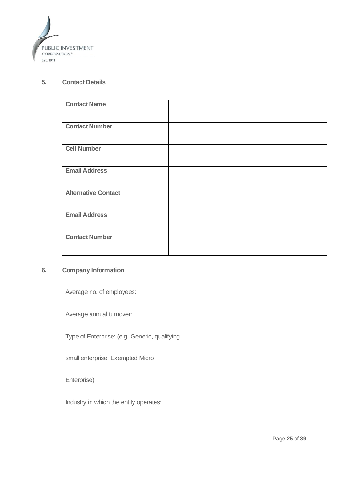

## **5. Contact Details**

| <b>Contact Name</b>        |  |
|----------------------------|--|
| <b>Contact Number</b>      |  |
| <b>Cell Number</b>         |  |
| <b>Email Address</b>       |  |
| <b>Alternative Contact</b> |  |
| <b>Email Address</b>       |  |
| <b>Contact Number</b>      |  |

## **6. Company Information**

| Average no. of employees:                     |  |
|-----------------------------------------------|--|
| Average annual turnover:                      |  |
| Type of Enterprise: (e.g. Generic, qualifying |  |
| small enterprise, Exempted Micro              |  |
| Enterprise)                                   |  |
| Industry in which the entity operates:        |  |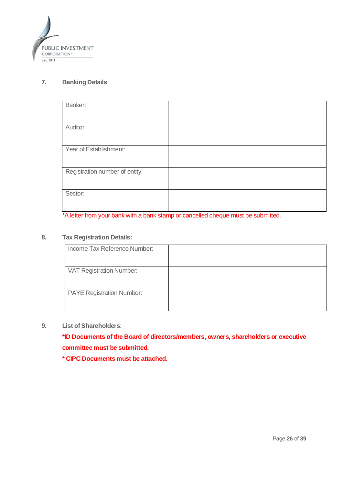

## **7. Banking Details**

\*A letter from your bank with a bank stamp or cancelled cheque must be submitted.

## **8. Tax Registration Details:**

| Income Tax Reference Number:     |  |
|----------------------------------|--|
| <b>VAT Registration Number:</b>  |  |
| <b>PAYE Registration Number:</b> |  |

## **9. List of Shareholders**:

**\*ID Documents of the Board of directors/members, owners, shareholders or executive committee must be submitted.**

**\* CIPC Documents must be attached.**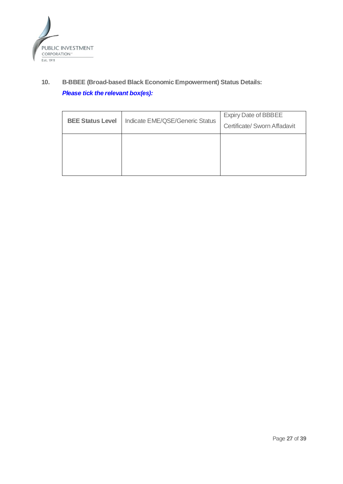

## **10. B-BBEE (Broad-based Black Economic Empowerment) Status Details:** *Please tick the relevant box(es):*

| <b>BEE Status Level</b> | Indicate EME/QSE/Generic Status | <b>Expiry Date of BBBEE</b><br>Certificate/ Sworn Affadavit |
|-------------------------|---------------------------------|-------------------------------------------------------------|
|                         |                                 |                                                             |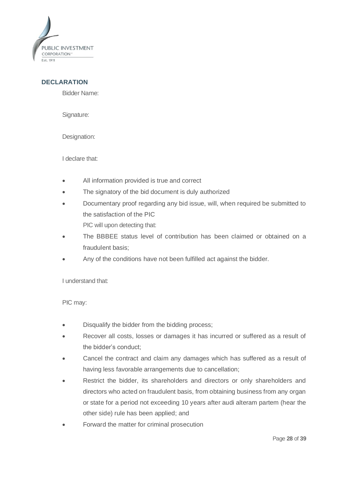

## <span id="page-28-0"></span>**DECLARATION**

Bidder Name:

Signature:

Designation:

I declare that:

- All information provided is true and correct
- The signatory of the bid document is duly authorized
- Documentary proof regarding any bid issue, will, when required be submitted to the satisfaction of the PIC PIC will upon detecting that:
- The BBBEE status level of contribution has been claimed or obtained on a fraudulent basis;
- Any of the conditions have not been fulfilled act against the bidder.

I understand that:

PIC may:

- Disqualify the bidder from the bidding process;
- Recover all costs, losses or damages it has incurred or suffered as a result of the bidder's conduct;
- Cancel the contract and claim any damages which has suffered as a result of having less favorable arrangements due to cancellation;
- Restrict the bidder, its shareholders and directors or only shareholders and directors who acted on fraudulent basis, from obtaining business from any organ or state for a period not exceeding 10 years after audi alteram partem (hear the other side) rule has been applied; and
- Forward the matter for criminal prosecution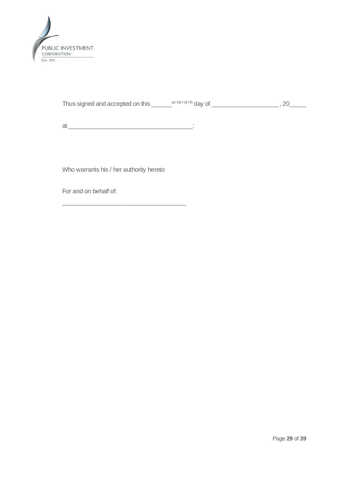

Thus signed and accepted on this \_\_\_\_\_\_\_<sup>st/nd/rd/th</sup> day of \_\_\_\_\_\_\_\_\_\_\_\_\_\_\_\_\_\_\_\_\_, 20\_\_\_\_\_\_

 $at$   $\frac{1}{2}$ 

Who warrants his / her authority hereto

\_\_\_\_\_\_\_\_\_\_\_\_\_\_\_\_\_\_\_\_\_\_\_\_\_\_\_\_\_\_\_\_\_\_\_\_\_

For and on behalf of: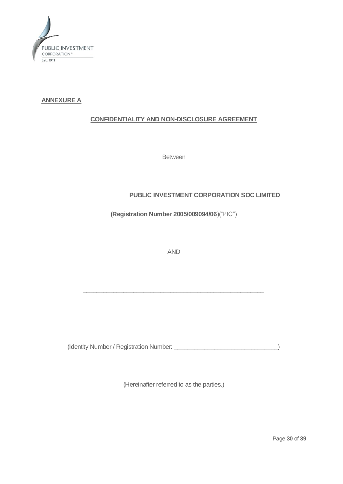

## **ANNEXURE A**

## **CONFIDENTIALITY AND NON-DISCLOSURE AGREEMENT**

Between

## **PUBLIC INVESTMENT CORPORATION SOC LIMITED**

## **(Registration Number 2005/009094/06**)("PIC")

AND

\_\_\_\_\_\_\_\_\_\_\_\_\_\_\_\_\_\_\_\_\_\_\_\_\_\_\_\_\_\_\_\_\_\_\_\_\_\_\_\_\_\_\_\_\_\_\_\_\_\_\_\_\_\_

(Identity Number / Registration Number: \_\_\_\_\_\_\_\_\_\_\_\_\_\_\_\_\_\_\_\_\_\_\_\_\_\_\_\_\_\_\_)

(Hereinafter referred to as the parties.)

Page **30** of **39**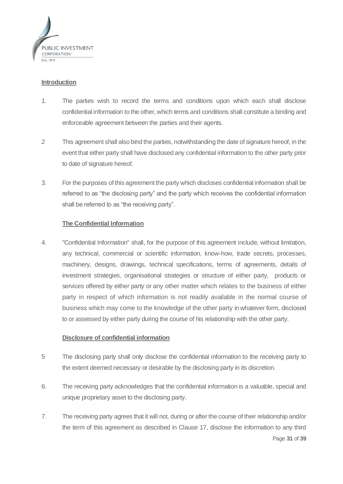

## **Introduction**

- 1. The parties wish to record the terms and conditions upon which each shall disclose confidential information to the other, which terms and conditions shall constitute a binding and enforceable agreement between the parties and their agents.
- 2 This agreement shall also bind the parties, notwithstanding the date of signature hereof, in the event that either party shall have disclosed any confidential information to the other party prior to date of signature hereof.
- 3. For the purposes of this agreement the party which discloses confidential information shall be referred to as "the disclosing party" and the party which receives the confidential information shall be referred to as "the receiving party".

## **The Confidential Information**

4. "Confidential Information" shall, for the purpose of this agreement include, without limitation, any technical, commercial or scientific information, know-how, trade secrets, processes, machinery, designs, drawings, technical specifications, terms of agreements, details of investment strategies, organisational strategies or structure of either party, products or services offered by either party or any other matter which relates to the business of either party in respect of which information is not readily available in the normal course of business which may come to the knowledge of the other party in whatever form, disclosed to or assessed by either party during the course of his relationship with the other party.

## **Disclosure of confidential information**

- 5 The disclosing party shall only disclose the confidential information to the receiving party to the extent deemed necessary or desirable by the disclosing party in its discretion.
- 6. The receiving party acknowledges that the confidential information is a valuable, special and unique proprietary asset to the disclosing party.
- Page **31** of **39** 7. The receiving party agrees that it will not, during or after the course of their relationship and/or the term of this agreement as described in Clause 17, disclose the information to any third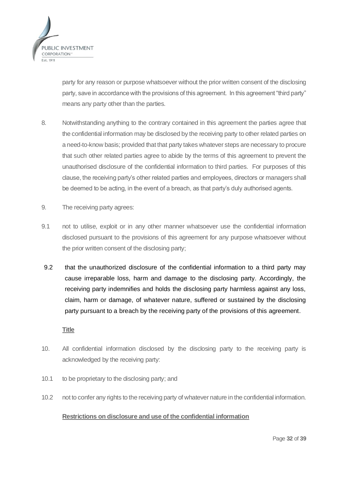

party for any reason or purpose whatsoever without the prior written consent of the disclosing party, save in accordance with the provisions of this agreement. In this agreement "third party" means any party other than the parties.

- 8. Notwithstanding anything to the contrary contained in this agreement the parties agree that the confidential information may be disclosed by the receiving party to other related parties on a need-to-know basis; provided that that party takes whatever steps are necessary to procure that such other related parties agree to abide by the terms of this agreement to prevent the unauthorised disclosure of the confidential information to third parties. For purposes of this clause, the receiving party's other related parties and employees, directors or managers shall be deemed to be acting, in the event of a breach, as that party's duly authorised agents.
- 9. The receiving party agrees:
- 9.1 not to utilise, exploit or in any other manner whatsoever use the confidential information disclosed pursuant to the provisions of this agreement for any purpose whatsoever without the prior written consent of the disclosing party;
- 9.2 that the unauthorized disclosure of the confidential information to a third party may cause irreparable loss, harm and damage to the disclosing party. Accordingly, the receiving party indemnifies and holds the disclosing party harmless against any loss, claim, harm or damage, of whatever nature, suffered or sustained by the disclosing party pursuant to a breach by the receiving party of the provisions of this agreement.

#### **Title**

- 10. All confidential information disclosed by the disclosing party to the receiving party is acknowledged by the receiving party:
- 10.1 to be proprietary to the disclosing party; and
- 10.2 not to confer any rights to the receiving party of whatever nature in the confidential information.

## **Restrictions on disclosure and use of the confidential information**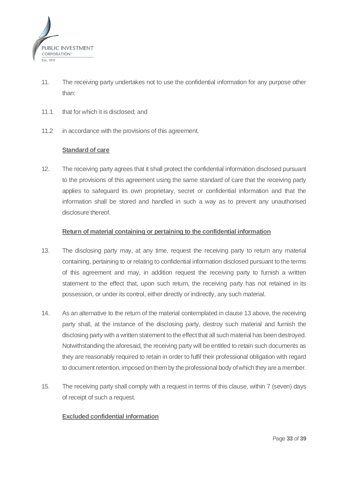

- 11. The receiving party undertakes not to use the confidential information for any purpose other than:
- 11.1 that for which it is disclosed; and
- 11.2 in accordance with the provisions of this agreement.

#### **Standard of care**

12. The receiving party agrees that it shall protect the confidential information disclosed pursuant to the provisions of this agreement using the same standard of care that the receiving party applies to safeguard its own proprietary, secret or confidential information and that the information shall be stored and handled in such a way as to prevent any unauthorised disclosure thereof.

#### **Return of material containing or pertaining to the confidential information**

- 13. The disclosing party may, at any time, request the receiving party to return any material containing, pertaining to or relating to confidential information disclosed pursuant to the terms of this agreement and may, in addition request the receiving party to furnish a written statement to the effect that, upon such return, the receiving party has not retained in its possession, or under its control, either directly or indirectly, any such material.
- 14. As an alternative to the return of the material contemplated in clause 13 above, the receiving party shall, at the instance of the disclosing party, destroy such material and furnish the disclosing party with a written statement to the effect that all such material has been destroyed. Notwithstanding the aforesaid, the receiving party will be entitled to retain such documents as they are reasonably required to retain in order to fulfil their professional obligation with regard to document retention, imposed on them by the professional body of which they are a member.
- 15. The receiving party shall comply with a request in terms of this clause, within 7 (seven) days of receipt of such a request.

## **Excluded confidential information**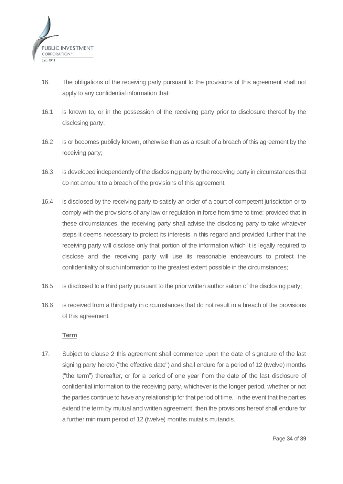

- 16. The obligations of the receiving party pursuant to the provisions of this agreement shall not apply to any confidential information that:
- 16.1 is known to, or in the possession of the receiving party prior to disclosure thereof by the disclosing party;
- 16.2 is or becomes publicly known, otherwise than as a result of a breach of this agreement by the receiving party;
- 16.3 is developed independently of the disclosing party by the receiving party in circumstances that do not amount to a breach of the provisions of this agreement;
- 16.4 is disclosed by the receiving party to satisfy an order of a court of competent jurisdiction or to comply with the provisions of any law or regulation in force from time to time; provided that in these circumstances, the receiving party shall advise the disclosing party to take whatever steps it deems necessary to protect its interests in this regard and provided further that the receiving party will disclose only that portion of the information which it is legally required to disclose and the receiving party will use its reasonable endeavours to protect the confidentiality of such information to the greatest extent possible in the circumstances;
- 16.5 is disclosed to a third party pursuant to the prior written authorisation of the disclosing party;
- 16.6 is received from a third party in circumstances that do not result in a breach of the provisions of this agreement.

## **Term**

17. Subject to clause 2 this agreement shall commence upon the date of signature of the last signing party hereto ("the effective date") and shall endure for a period of 12 (twelve) months ("the term") thereafter, or for a period of one year from the date of the last disclosure of confidential information to the receiving party, whichever is the longer period, whether or not the parties continue to have any relationship for that period of time. In the event that the parties extend the term by mutual and written agreement, then the provisions hereof shall endure for a further minimum period of 12 (twelve) months mutatis mutandis.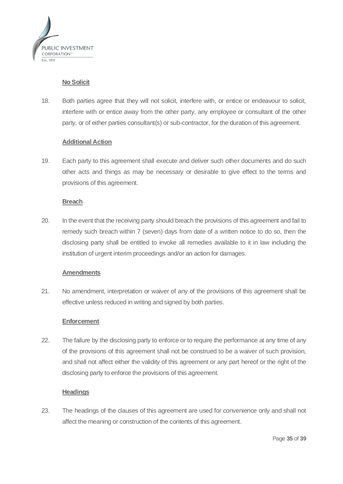

## **No Solicit**

18. Both parties agree that they will not solicit, interfere with, or entice or endeavour to solicit, interfere with or entice away from the other party, any employee or consultant of the other party, or of either parties consultant(s) or sub-contractor, for the duration of this agreement.

#### **Additional Action**

19. Each party to this agreement shall execute and deliver such other documents and do such other acts and things as may be necessary or desirable to give effect to the terms and provisions of this agreement.

#### **Breach**

20. In the event that the receiving party should breach the provisions of this agreement and fail to remedy such breach within 7 (seven) days from date of a written notice to do so, then the disclosing party shall be entitled to invoke all remedies available to it in law including the institution of urgent interim proceedings and/or an action for damages.

## **Amendments**

21. No amendment, interpretation or waiver of any of the provisions of this agreement shall be effective unless reduced in writing and signed by both parties.

## **Enforcement**

22. The failure by the disclosing party to enforce or to require the performance at any time of any of the provisions of this agreement shall not be construed to be a waiver of such provision, and shall not affect either the validity of this agreement or any part hereof or the right of the disclosing party to enforce the provisions of this agreement.

## **Headings**

23. The headings of the clauses of this agreement are used for convenience only and shall not affect the meaning or construction of the contents of this agreement.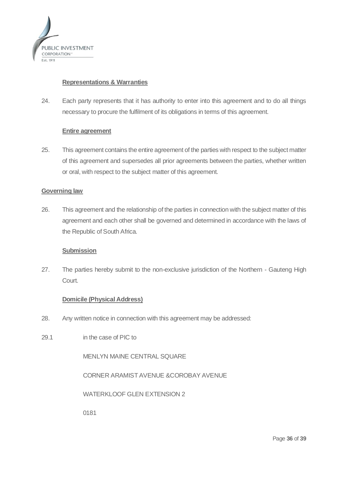

#### **Representations & Warranties**

24. Each party represents that it has authority to enter into this agreement and to do all things necessary to procure the fulfilment of its obligations in terms of this agreement.

#### **Entire agreement**

25. This agreement contains the entire agreement of the parties with respect to the subject matter of this agreement and supersedes all prior agreements between the parties, whether written or oral, with respect to the subject matter of this agreement.

#### **Governing law**

26. This agreement and the relationship of the parties in connection with the subject matter of this agreement and each other shall be governed and determined in accordance with the laws of the Republic of South Africa.

## **Submission**

27. The parties hereby submit to the non-exclusive jurisdiction of the Northern - Gauteng High Court.

## **Domicile (Physical Address)**

- 28. Any written notice in connection with this agreement may be addressed:
- 29.1 in the case of PIC to

MENLYN MAINE CENTRAL SQUARE

CORNER ARAMIST AVENUE &COROBAY AVENUE

WATERKLOOF GLEN EXTENSION 2

0181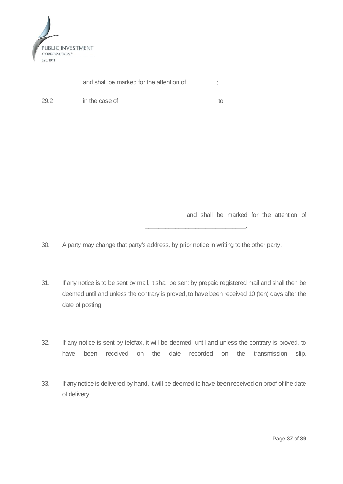

and shall be marked for the attention of……………;

29.2 in the case of to to

\_\_\_\_\_\_\_\_\_\_\_\_\_\_\_\_\_\_\_\_\_\_\_\_\_\_\_\_

\_\_\_\_\_\_\_\_\_\_\_\_\_\_\_\_\_\_\_\_\_\_\_\_\_\_\_\_

\_\_\_\_\_\_\_\_\_\_\_\_\_\_\_\_\_\_\_\_\_\_\_\_\_\_\_\_

\_\_\_\_\_\_\_\_\_\_\_\_\_\_\_\_\_\_\_\_\_\_\_\_\_\_\_\_

and shall be marked for the attention of

- 30. A party may change that party's address, by prior notice in writing to the other party.
- 31. If any notice is to be sent by mail, it shall be sent by prepaid registered mail and shall then be deemed until and unless the contrary is proved, to have been received 10 (ten) days after the date of posting.

\_\_\_\_\_\_\_\_\_\_\_\_\_\_\_\_\_\_\_\_\_\_\_\_\_\_\_\_\_\_.

- 32. If any notice is sent by telefax, it will be deemed, until and unless the contrary is proved, to have been received on the date recorded on the transmission slip.
- 33. If any notice is delivered by hand, it will be deemed to have been received on proof of the date of delivery.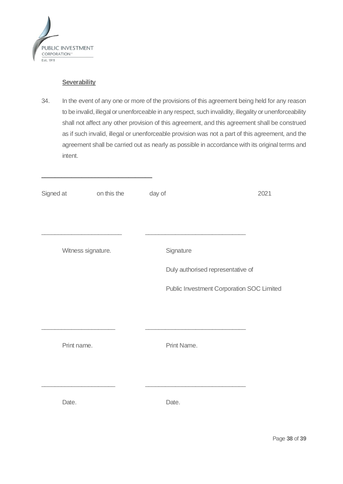

#### **Severability**

**\_\_\_\_\_\_\_\_\_\_\_\_\_\_\_\_\_\_\_\_\_\_\_\_\_\_\_\_\_\_\_\_\_**

34. In the event of any one or more of the provisions of this agreement being held for any reason to be invalid, illegal or unenforceable in any respect, such invalidity, illegality or unenforceability shall not affect any other provision of this agreement, and this agreement shall be construed as if such invalid, illegal or unenforceable provision was not a part of this agreement, and the agreement shall be carried out as nearly as possible in accordance with its original terms and intent.

| Signed at          | on this the | day of |                                           | 2021 |
|--------------------|-------------|--------|-------------------------------------------|------|
|                    |             |        |                                           |      |
| Witness signature. |             |        | Signature                                 |      |
|                    |             |        | Duly authorised representative of         |      |
|                    |             |        | Public Investment Corporation SOC Limited |      |
|                    |             |        |                                           |      |
|                    |             |        |                                           |      |
| Print name.        |             |        | Print Name.                               |      |
|                    |             |        |                                           |      |
|                    |             |        |                                           |      |
| Date.              |             |        | Date.                                     |      |